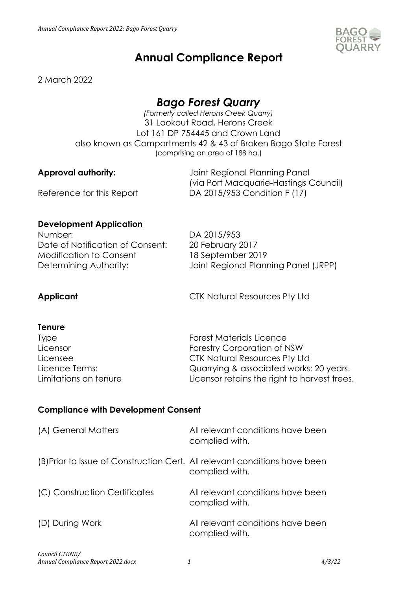

# **Annual Compliance Report**

2 March 2022

# *Bago Forest Quarry*

*(Formerly called Herons Creek Quarry)* 31 Lookout Road, Herons Creek Lot 161 DP 754445 and Crown Land also known as Compartments 42 & 43 of Broken Bago State Forest (comprising an area of 188 ha.)

**Approval authority:** Joint Regional Planning Panel (via Port Macquarie-Hastings Council) Reference for this Report DA 2015/953 Condition F (17)

# **Development Application**

Number: DA 2015/953 Date of Notification of Consent: 20 February 2017 Modification to Consent 18 September 2019

Determining Authority: Joint Regional Planning Panel (JRPP)

**Applicant** CTK Natural Resources Pty Ltd

### **Tenure**

| Quarrying & associated works: 20 years.      |
|----------------------------------------------|
| Licensor retains the right to harvest trees. |
|                                              |

# **Compliance with Development Consent**

| (A) General Matters                                                        | All relevant conditions have been<br>complied with. |
|----------------------------------------------------------------------------|-----------------------------------------------------|
| (B) Prior to Issue of Construction Cert. All relevant conditions have been | complied with.                                      |
| (C) Construction Certificates                                              | All relevant conditions have been<br>complied with. |
| (D) During Work                                                            | All relevant conditions have been<br>complied with. |